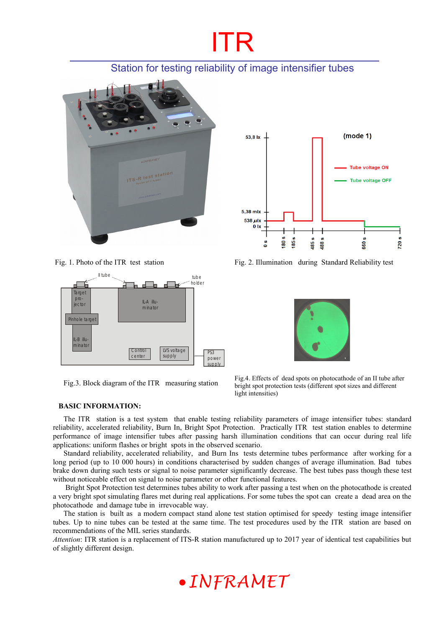# ITR

## Station for testing reliability of image intensifier tubes







The ITR station is a test system that enable testing reliability parameters of image intensifier tubes: standard reliability, accelerated reliability, Burn In, Bright Spot Protection. Practically ITR test station enables to determine performance of image intensifier tubes after passing harsh illumination conditions that can occur during real life applications: uniform flashes or bright spots in the observed scenario.

Standard reliability, accelerated reliability, and Burn Ins tests determine tubes performance after working for a long period (up to 10 000 hours) in conditions characterised by sudden changes of average illumination. Bad tubes brake down during such tests or signal to noise parameter significantly decrease. The best tubes pass though these test without noticeable effect on signal to noise parameter or other functional features.

 Bright Spot Protection test determines tubes ability to work after passing a test when on the photocathode is created a very bright spot simulating flares met during real applications. For some tubes the spot can create a dead area on the photocathode and damage tube in irrevocable way.

The station is built as a modern compact stand alone test station optimised for speedy testing image intensifier tubes. Up to nine tubes can be tested at the same time. The test procedures used by the ITR station are based on recommendations of the MIL series standards.

*Attention*: ITR station is a replacement of ITS-R station manufactured up to 2017 year of identical test capabilities but of slightly different design.



Fig. 1. Photo of the ITR test station Fig. 2. Illumination during Standard Reliability test



Fig. 3. Block diagram of the ITR measuring station Fig. 4. Effects of dead spots on photocathode of an II tube after Fig. 3. Block diagram of the ITR measuring station Fig. 3. bright spot protection tests (different spot sizes and different light intensities)